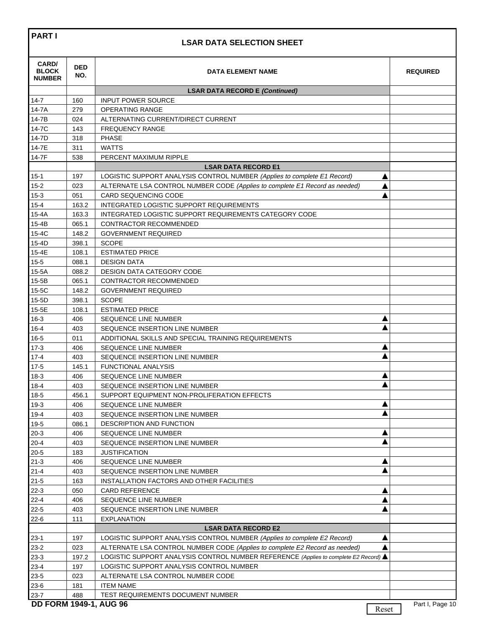| <b>PARTI</b>                                  | <b>LSAR DATA SELECTION SHEET</b> |                                                                                      |                 |  |  |
|-----------------------------------------------|----------------------------------|--------------------------------------------------------------------------------------|-----------------|--|--|
| <b>CARD/</b><br><b>BLOCK</b><br><b>NUMBER</b> | <b>DED</b><br>NO.                | <b>DATA ELEMENT NAME</b>                                                             | <b>REQUIRED</b> |  |  |
|                                               |                                  | <b>LSAR DATA RECORD E (Continued)</b>                                                |                 |  |  |
| 14-7                                          | 160                              | <b>INPUT POWER SOURCE</b>                                                            |                 |  |  |
| 14-7A                                         | 279                              | OPERATING RANGE                                                                      |                 |  |  |
| 14-7B                                         | 024                              | ALTERNATING CURRENT/DIRECT CURRENT                                                   |                 |  |  |
| 14-7C                                         | 143                              | <b>FREQUENCY RANGE</b>                                                               |                 |  |  |
| 14-7D                                         | 318                              | <b>PHASE</b>                                                                         |                 |  |  |
| 14-7E                                         | 311                              | <b>WATTS</b>                                                                         |                 |  |  |
| 14-7F                                         | 538                              | PERCENT MAXIMUM RIPPLE                                                               |                 |  |  |
|                                               |                                  | <b>LSAR DATA RECORD E1</b>                                                           |                 |  |  |
| $15 - 1$                                      | 197                              | LOGISTIC SUPPORT ANALYSIS CONTROL NUMBER (Applies to complete E1 Record)<br>Δ        |                 |  |  |
| $15 - 2$                                      | 023                              | ALTERNATE LSA CONTROL NUMBER CODE (Applies to complete E1 Record as needed)<br>Δ     |                 |  |  |
| $15-3$                                        | 051                              | <b>CARD SEQUENCING CODE</b>                                                          |                 |  |  |
| $15 - 4$                                      | 163.2                            | INTEGRATED LOGISTIC SUPPORT REQUIREMENTS                                             |                 |  |  |
| 15-4A                                         | 163.3                            | INTEGRATED LOGISTIC SUPPORT REQUIREMENTS CATEGORY CODE                               |                 |  |  |
| 15-4B                                         | 065.1                            | CONTRACTOR RECOMMENDED                                                               |                 |  |  |
| 15-4C                                         | 148.2                            | <b>GOVERNMENT REQUIRED</b>                                                           |                 |  |  |
| 15-4D                                         | 398.1                            | <b>SCOPE</b>                                                                         |                 |  |  |
| 15-4E                                         | 108.1                            | <b>ESTIMATED PRICE</b>                                                               |                 |  |  |
| $15 - 5$                                      | 088.1                            | <b>DESIGN DATA</b>                                                                   |                 |  |  |
| $15-5A$                                       | 088.2                            | <b>DESIGN DATA CATEGORY CODE</b>                                                     |                 |  |  |
| $15 - 5B$                                     | 065.1                            | CONTRACTOR RECOMMENDED                                                               |                 |  |  |
| 15-5C                                         | 148.2                            | <b>GOVERNMENT REQUIRED</b>                                                           |                 |  |  |
| $15 - 5D$                                     | 398.1                            | <b>SCOPE</b>                                                                         |                 |  |  |
| 15-5E                                         | 108.1                            | <b>ESTIMATED PRICE</b>                                                               |                 |  |  |
| $16-3$                                        | 406                              | ▲<br>SEQUENCE LINE NUMBER                                                            |                 |  |  |
| $16 - 4$                                      | 403                              | SEQUENCE INSERTION LINE NUMBER                                                       |                 |  |  |
| $16 - 5$                                      | 011                              | ADDITIONAL SKILLS AND SPECIAL TRAINING REQUIREMENTS                                  |                 |  |  |
| $17-3$                                        | 406                              | Δ<br><b>SEQUENCE LINE NUMBER</b>                                                     |                 |  |  |
| $17 - 4$                                      | 403                              | SEQUENCE INSERTION LINE NUMBER                                                       |                 |  |  |
| $17-5$                                        | 145.1                            | <b>FUNCTIONAL ANALYSIS</b>                                                           |                 |  |  |
| $18-3$                                        | 406                              | SEQUENCE LINE NUMBER                                                                 |                 |  |  |
| $18 - 4$                                      | 403                              | Δ<br>SEQUENCE INSERTION LINE NUMBER                                                  |                 |  |  |
| $18-5$                                        | 456.1                            | SUPPORT EQUIPMENT NON-PROLIFERATION EFFECTS                                          |                 |  |  |
| $19-3$                                        | 406                              | SEQUENCE LINE NUMBER                                                                 |                 |  |  |
| $19-4$                                        | 403                              | SEQUENCE INSERTION LINE NUMBER                                                       |                 |  |  |
| $19-5$                                        | 086.1                            | DESCRIPTION AND FUNCTION                                                             |                 |  |  |
| $20-3$                                        | 406                              | SEQUENCE LINE NUMBER                                                                 |                 |  |  |
| $20 - 4$                                      | 403                              | SEQUENCE INSERTION LINE NUMBER                                                       |                 |  |  |
| $20 - 5$                                      | 183                              | <b>JUSTIFICATION</b>                                                                 |                 |  |  |
| $21 - 3$                                      | 406                              | SEQUENCE LINE NUMBER                                                                 |                 |  |  |
| $21 - 4$                                      | 403                              | SEQUENCE INSERTION LINE NUMBER                                                       |                 |  |  |
| $21 - 5$                                      | 163                              | INSTALLATION FACTORS AND OTHER FACILITIES                                            |                 |  |  |
| $22-3$                                        | 050                              | <b>CARD REFERENCE</b>                                                                |                 |  |  |
| $22 - 4$                                      | 406                              | SEQUENCE LINE NUMBER                                                                 |                 |  |  |
| $22 - 5$                                      | 403                              | SEQUENCE INSERTION LINE NUMBER                                                       |                 |  |  |
| $22 - 6$                                      | 111                              | <b>EXPLANATION</b>                                                                   |                 |  |  |
|                                               |                                  | <b>LSAR DATA RECORD E2</b>                                                           |                 |  |  |
| $23-1$                                        | 197                              | LOGISTIC SUPPORT ANALYSIS CONTROL NUMBER (Applies to complete E2 Record)             |                 |  |  |
| $23-2$                                        | 023                              | ALTERNATE LSA CONTROL NUMBER CODE (Applies to complete E2 Record as needed)          |                 |  |  |
| $23-3$                                        | 197.2                            | LOGISTIC SUPPORT ANALYSIS CONTROL NUMBER REFERENCE (Applies to complete E2 Record) ▲ |                 |  |  |
| $23 - 4$                                      | 197                              | LOGISTIC SUPPORT ANALYSIS CONTROL NUMBER                                             |                 |  |  |
| $23 - 5$                                      | 023                              | ALTERNATE LSA CONTROL NUMBER CODE                                                    |                 |  |  |
| $23-6$                                        | 181                              | <b>ITEM NAME</b>                                                                     |                 |  |  |
| $23 - 7$                                      | 488                              | TEST REQUIREMENTS DOCUMENT NUMBER                                                    |                 |  |  |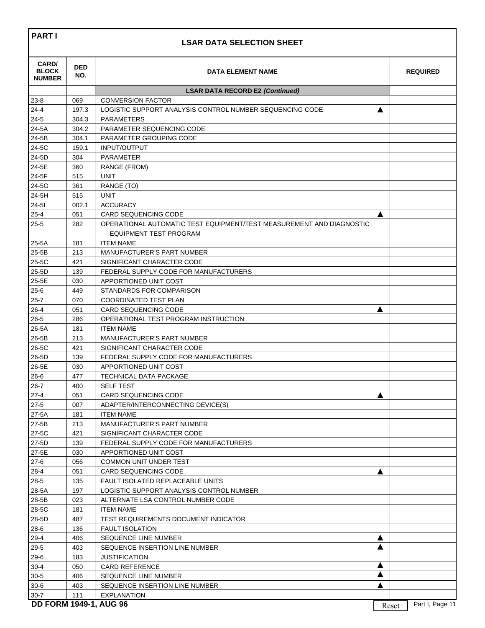## **LSAR DATA SELECTION SHEET**

| <b>CARD/</b><br><b>BLOCK</b><br><b>NUMBER</b> | <b>DED</b><br>NO. | <b>DATA ELEMENT NAME</b>                                             |   | <b>REQUIRED</b> |
|-----------------------------------------------|-------------------|----------------------------------------------------------------------|---|-----------------|
|                                               |                   | <b>LSAR DATA RECORD E2 (Continued)</b>                               |   |                 |
| $23 - 8$                                      | 069               | <b>CONVERSION FACTOR</b>                                             |   |                 |
| $24 - 4$                                      | 197.3             | LOGISTIC SUPPORT ANALYSIS CONTROL NUMBER SEQUENCING CODE             | ▲ |                 |
| $24 - 5$                                      | 304.3             | <b>PARAMETERS</b>                                                    |   |                 |
| 24-5A                                         | 304.2             | PARAMETER SEQUENCING CODE                                            |   |                 |
| 24-5B                                         | 304.1             | PARAMETER GROUPING CODE                                              |   |                 |
| 24-5C                                         | 159.1             | <b>INPUT/OUTPUT</b>                                                  |   |                 |
| 24-5D                                         | 304               | <b>PARAMETER</b>                                                     |   |                 |
| 24-5E                                         | 360               | RANGE (FROM)                                                         |   |                 |
| 24-5F                                         | 515               | <b>UNIT</b>                                                          |   |                 |
| 24-5G                                         | 361               | RANGE (TO)                                                           |   |                 |
| 24-5H                                         | 515               | <b>UNIT</b>                                                          |   |                 |
| $24 - 51$                                     | 002.1             | <b>ACCURACY</b>                                                      |   |                 |
| $25 - 4$                                      | 051               | <b>CARD SEQUENCING CODE</b>                                          | ▲ |                 |
| $25 - 5$                                      | 282               | OPERATIONAL AUTOMATIC TEST EQUIPMENT/TEST MEASUREMENT AND DIAGNOSTIC |   |                 |
|                                               |                   | <b>EQUIPMENT TEST PROGRAM</b>                                        |   |                 |
| $25-5A$                                       | 181               | <b>ITEM NAME</b>                                                     |   |                 |
| 25-5B                                         | 213               | MANUFACTURER'S PART NUMBER                                           |   |                 |
| 25-5C                                         | 421               | SIGNIFICANT CHARACTER CODE                                           |   |                 |
| 25-5D                                         | 139               | FEDERAL SUPPLY CODE FOR MANUFACTURERS                                |   |                 |
| 25-5E                                         | 030               | APPORTIONED UNIT COST                                                |   |                 |
| $25 - 6$                                      | 449               | STANDARDS FOR COMPARISON                                             |   |                 |
| $25 - 7$                                      | 070               | COORDINATED TEST PLAN                                                |   |                 |
| $26 - 4$                                      | 051               | <b>CARD SEQUENCING CODE</b>                                          | ▲ |                 |
| $26 - 5$                                      | 286               | OPERATIONAL TEST PROGRAM INSTRUCTION                                 |   |                 |
| 26-5A                                         | 181               | <b>ITEM NAME</b>                                                     |   |                 |
| 26-5B                                         | 213               | MANUFACTURER'S PART NUMBER                                           |   |                 |
| 26-5C                                         | 421               | SIGNIFICANT CHARACTER CODE                                           |   |                 |
| 26-5D                                         |                   | FEDERAL SUPPLY CODE FOR MANUFACTURERS                                |   |                 |
| 26-5E                                         | 139               |                                                                      |   |                 |
|                                               | 030               | APPORTIONED UNIT COST                                                |   |                 |
| $26 - 6$                                      | 477               | TECHNICAL DATA PACKAGE                                               |   |                 |
| $26 - 7$                                      | 400               | <b>SELF TEST</b>                                                     |   |                 |
| $27 - 4$<br>$27 - 5$                          | 051               | <b>CARD SEQUENCING CODE</b>                                          | A |                 |
|                                               | 007               | ADAPTER/INTERCONNECTING DEVICE(S)                                    |   |                 |
| 27-5A<br>27-5B                                | 181               | <b>ITEM NAME</b>                                                     |   |                 |
|                                               | 213               | <b>MANUFACTURER'S PART NUMBER</b>                                    |   |                 |
| 27-5C                                         | 421               | SIGNIFICANT CHARACTER CODE                                           |   |                 |
| 27-5D                                         | 139               | FEDERAL SUPPLY CODE FOR MANUFACTURERS                                |   |                 |
| 27-5E                                         | 030               | APPORTIONED UNIT COST                                                |   |                 |
| $27-6$                                        | 056               | COMMON UNIT UNDER TEST                                               |   |                 |
| $28 - 4$                                      | 051               | <b>CARD SEQUENCING CODE</b>                                          | А |                 |
| $28 - 5$                                      | 135               | <b>FAULT ISOLATED REPLACEABLE UNITS</b>                              |   |                 |
| 28-5A                                         | 197               | LOGISTIC SUPPORT ANALYSIS CONTROL NUMBER                             |   |                 |
| 28-5B                                         | 023               | ALTERNATE LSA CONTROL NUMBER CODE                                    |   |                 |
| 28-5C                                         | 181               | <b>ITEM NAME</b>                                                     |   |                 |
| 28-5D                                         | 487               | TEST REQUIREMENTS DOCUMENT INDICATOR                                 |   |                 |
| $28 - 6$                                      | 136               | <b>FAULT ISOLATION</b>                                               |   |                 |
| $29 - 4$                                      | 406               | SEQUENCE LINE NUMBER                                                 | ▲ |                 |
| $29 - 5$                                      | 403               | SEQUENCE INSERTION LINE NUMBER                                       | A |                 |
| $29-6$                                        | 183               | <b>JUSTIFICATION</b>                                                 |   |                 |
| $30 - 4$                                      | 050               | <b>CARD REFERENCE</b>                                                | A |                 |
| $30 - 5$                                      | 406               | SEQUENCE LINE NUMBER                                                 | A |                 |
| $30-6$                                        | 403               | SEQUENCE INSERTION LINE NUMBER                                       | A |                 |
| $30 - 7$                                      | 111               | EXPLANATION                                                          |   |                 |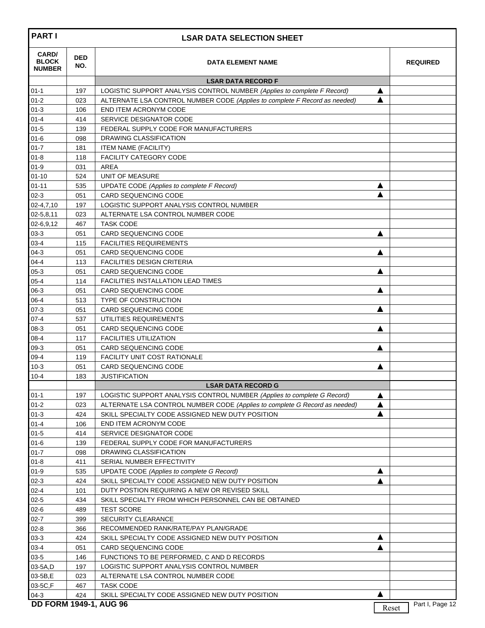| <b>PARTI</b>                           | <b>LSAR DATA SELECTION SHEET</b> |                                                                            |   |                          |  |  |
|----------------------------------------|----------------------------------|----------------------------------------------------------------------------|---|--------------------------|--|--|
| CARD/<br><b>BLOCK</b><br><b>NUMBER</b> | <b>DED</b><br>NO.                | <b>DATA ELEMENT NAME</b>                                                   |   | <b>REQUIRED</b>          |  |  |
|                                        |                                  | <b>LSAR DATA RECORD F</b>                                                  |   |                          |  |  |
| $01 - 1$                               | 197                              | LOGISTIC SUPPORT ANALYSIS CONTROL NUMBER (Applies to complete F Record)    | ▲ |                          |  |  |
| $01 - 2$                               | 023                              | ALTERNATE LSA CONTROL NUMBER CODE (Applies to complete F Record as needed) | ▲ |                          |  |  |
| $01 - 3$                               | 106                              | END ITEM ACRONYM CODE                                                      |   |                          |  |  |
| $01 - 4$                               | 414                              | SERVICE DESIGNATOR CODE                                                    |   |                          |  |  |
| $01 - 5$                               | 139                              | FEDERAL SUPPLY CODE FOR MANUFACTURERS                                      |   |                          |  |  |
| $01 - 6$                               | 098                              | DRAWING CLASSIFICATION                                                     |   |                          |  |  |
| $01 - 7$                               | 181                              | <b>ITEM NAME (FACILITY)</b>                                                |   |                          |  |  |
| $01 - 8$                               | 118                              | <b>FACILITY CATEGORY CODE</b>                                              |   |                          |  |  |
| $01 - 9$                               | 031                              | AREA                                                                       |   |                          |  |  |
| $01 - 10$                              | 524                              | UNIT OF MEASURE                                                            |   |                          |  |  |
| $01 - 11$                              | 535                              | UPDATE CODE (Applies to complete F Record)                                 | ▲ |                          |  |  |
| $02 - 3$                               | 051                              | <b>CARD SEQUENCING CODE</b>                                                |   |                          |  |  |
| $02 - 4, 7, 10$                        | 197                              | LOGISTIC SUPPORT ANALYSIS CONTROL NUMBER                                   |   |                          |  |  |
| 02-5,8,11                              | 023                              | ALTERNATE LSA CONTROL NUMBER CODE<br><b>TASK CODE</b>                      |   |                          |  |  |
| 02-6,9,12<br>$03 - 3$                  | 467<br>051                       | <b>CARD SEQUENCING CODE</b>                                                |   |                          |  |  |
| $03 - 4$                               | 115                              | <b>FACILITIES REQUIREMENTS</b>                                             | ▲ |                          |  |  |
| $04-3$                                 | 051                              | <b>CARD SEQUENCING CODE</b>                                                | ▲ |                          |  |  |
| $04 - 4$                               | 113                              | <b>FACILITIES DESIGN CRITERIA</b>                                          |   |                          |  |  |
| $05-3$                                 | 051                              | <b>CARD SEQUENCING CODE</b>                                                | ▲ |                          |  |  |
| $05 - 4$                               | 114                              | <b>FACILITIES INSTALLATION LEAD TIMES</b>                                  |   |                          |  |  |
| $06-3$                                 | 051                              | <b>CARD SEQUENCING CODE</b>                                                | ▲ |                          |  |  |
| $06 - 4$                               | 513                              | <b>TYPE OF CONSTRUCTION</b>                                                |   |                          |  |  |
| $07 - 3$                               | 051                              | <b>CARD SEQUENCING CODE</b>                                                | A |                          |  |  |
| $07 - 4$                               | 537                              | UTILITIES REQUIREMENTS                                                     |   |                          |  |  |
| $08-3$                                 | 051                              | <b>CARD SEQUENCING CODE</b>                                                | ▲ |                          |  |  |
| $08 - 4$                               | 117                              | <b>FACILITIES UTILIZATION</b>                                              |   |                          |  |  |
| $09-3$                                 | 051                              | <b>CARD SEQUENCING CODE</b>                                                | ▲ |                          |  |  |
| $09-4$                                 | 119                              | <b>FACILITY UNIT COST RATIONALE</b>                                        |   |                          |  |  |
| $10-3$                                 | 051                              | <b>CARD SEQUENCING CODE</b>                                                | ▲ |                          |  |  |
| $10 - 4$                               | 183                              | <b>JUSTIFICATION</b>                                                       |   |                          |  |  |
|                                        |                                  | <b>LSAR DATA RECORD G</b>                                                  |   |                          |  |  |
| $01 - 1$                               | 197                              | LOGISTIC SUPPORT ANALYSIS CONTROL NUMBER (Applies to complete G Record)    | ▲ |                          |  |  |
| $01 - 2$                               | 023                              | ALTERNATE LSA CONTROL NUMBER CODE (Applies to complete G Record as needed) | ▲ |                          |  |  |
| $01-3$                                 | 424                              | SKILL SPECIALTY CODE ASSIGNED NEW DUTY POSITION                            | ▲ |                          |  |  |
| $01 - 4$                               | 106                              | END ITEM ACRONYM CODE                                                      |   |                          |  |  |
| $01 - 5$                               | 414                              | SERVICE DESIGNATOR CODE                                                    |   |                          |  |  |
| $01 - 6$                               | 139                              | FEDERAL SUPPLY CODE FOR MANUFACTURERS                                      |   |                          |  |  |
| $01 - 7$                               | 098                              | DRAWING CLASSIFICATION                                                     |   |                          |  |  |
| $01 - 8$                               | 411                              | SERIAL NUMBER EFFECTIVITY                                                  |   |                          |  |  |
| $01 - 9$                               | 535                              | UPDATE CODE (Applies to complete G Record)                                 | ▲ |                          |  |  |
| $02-3$                                 | 424                              | SKILL SPECIALTY CODE ASSIGNED NEW DUTY POSITION                            | ▲ |                          |  |  |
| $02 - 4$                               | 101                              | DUTY POSTION REQUIRING A NEW OR REVISED SKILL                              |   |                          |  |  |
| $02 - 5$                               | 434                              | SKILL SPECIALTY FROM WHICH PERSONNEL CAN BE OBTAINED                       |   |                          |  |  |
| $02 - 6$                               | 489                              | <b>TEST SCORE</b>                                                          |   |                          |  |  |
| $02 - 7$                               | 399                              | <b>SECURITY CLEARANCE</b>                                                  |   |                          |  |  |
| $02 - 8$                               | 366                              | RECOMMENDED RANK/RATE/PAY PLAN/GRADE                                       |   |                          |  |  |
| $03-3$                                 | 424                              | SKILL SPECIALTY CODE ASSIGNED NEW DUTY POSITION                            | ▲ |                          |  |  |
| $03 - 4$                               | 051                              | CARD SEQUENCING CODE                                                       | A |                          |  |  |
| $03 - 5$                               | 146                              | FUNCTIONS TO BE PERFORMED, C AND D RECORDS                                 |   |                          |  |  |
| 03-5A,D                                | 197                              | LOGISTIC SUPPORT ANALYSIS CONTROL NUMBER                                   |   |                          |  |  |
| 03-5B,E                                | 023                              | ALTERNATE LSA CONTROL NUMBER CODE                                          |   |                          |  |  |
| 03-5C,F                                | 467                              | <b>TASK CODE</b>                                                           |   |                          |  |  |
| $04-3$                                 | 424                              | SKILL SPECIALTY CODE ASSIGNED NEW DUTY POSITION                            | ▲ |                          |  |  |
| <b>DD FORM 1949-1, AUG 96</b>          |                                  |                                                                            |   | Part I, Page 12<br>Reset |  |  |